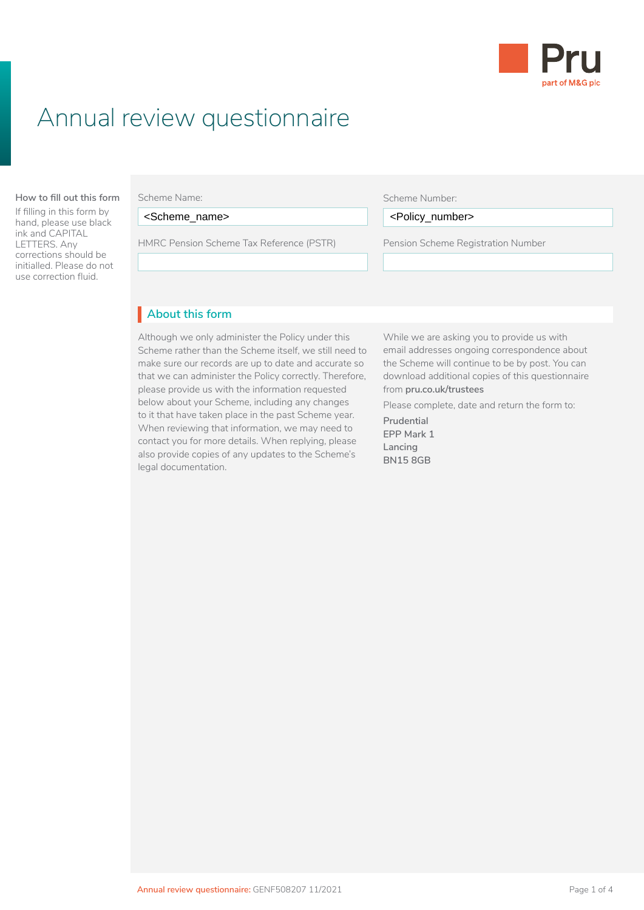

# Annual review questionnaire

#### **About this form How to fill out this form**

If filling in this form by hand, please use black ink and CAPITAL LETTERS. Any corrections should be initialled. Please do not use correction fluid.

#### Scheme Name:

<Scheme\_name> Scheme (LGPS) application, you need to read:

HMRC Pension Scheme Tax Reference (PSTR) Pension Scheme Registration Number

#### Scheme Number:

<Scheme\_name> <Policy\_number>

Pension Scheme Registration Number • are already paying AVCs and you've changed  $\overline{L}$ 

### • Client Agreement **About this form** I

Although we only administer the Policy under this Scheme rather than the Scheme itself, we still need to make sure our records are up to date and accurate so that we can administer the Policy correctly. Therefore, please provide us with the information requested below about your Scheme, including any changes to it that have taken place in the past Scheme year. When reviewing that information, we may need to contact you for more details. When replying, please also provide copies of any updates to the Scheme's legal documentation.

While we are asking you to provide us with email addresses ongoing correspondence about the Scheme will continue to be by post. You can download additional copies of this questionnaire from **[pru.co.uk/trustees](https://www.pru.co.uk/trustees/)**

Please complete, date and return the form to:

**Prudential EPP Mark 1 Lancing BN15 8GB**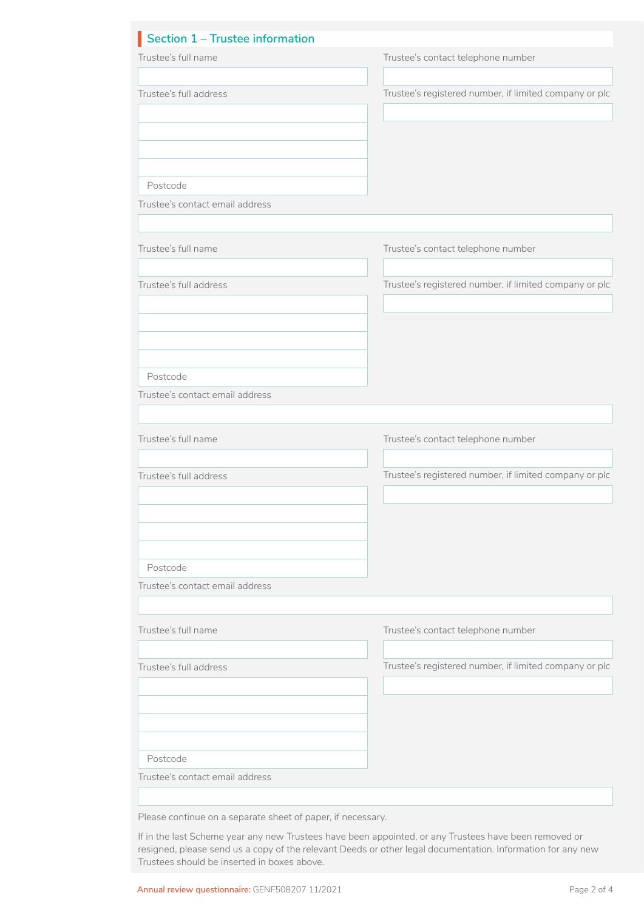| Section 1 - Trustee information                             |                                                        |
|-------------------------------------------------------------|--------------------------------------------------------|
| Trustee's full name                                         | Trustee's contact telephone number                     |
|                                                             |                                                        |
| Trustee's full address                                      | Trustee's registered number, if limited company or plc |
|                                                             |                                                        |
| Postcode                                                    |                                                        |
| Trustee's contact email address                             |                                                        |
| Trustee's full name                                         | Trustee's contact telephone number                     |
|                                                             |                                                        |
| Trustee's full address                                      | Trustee's registered number, if limited company or plc |
|                                                             |                                                        |
|                                                             |                                                        |
|                                                             |                                                        |
| Postcode                                                    |                                                        |
| Trustee's contact email address                             |                                                        |
|                                                             |                                                        |
|                                                             |                                                        |
| Trustee's full name                                         | Trustee's contact telephone number                     |
| Trustee's full address                                      | Trustee's registered number, if limited company or plc |
|                                                             |                                                        |
|                                                             |                                                        |
|                                                             |                                                        |
|                                                             |                                                        |
| Postcode                                                    |                                                        |
| Trustee's contact email address                             |                                                        |
|                                                             |                                                        |
|                                                             |                                                        |
| Trustee's full name                                         | Trustee's contact telephone number                     |
| Trustee's full address                                      | Trustee's registered number, if limited company or plc |
|                                                             |                                                        |
|                                                             |                                                        |
|                                                             |                                                        |
|                                                             |                                                        |
| Postcode                                                    |                                                        |
| Trustee's contact email address                             |                                                        |
|                                                             |                                                        |
| Please continue on a separate sheet of paper, if necessary. |                                                        |

If in the last Scheme year any new Trustees have been appointed, or any Trustees have been removed or resigned, please send us a copy of the relevant Deeds or other legal documentation. Information for any new Trustees should be inserted in boxes above.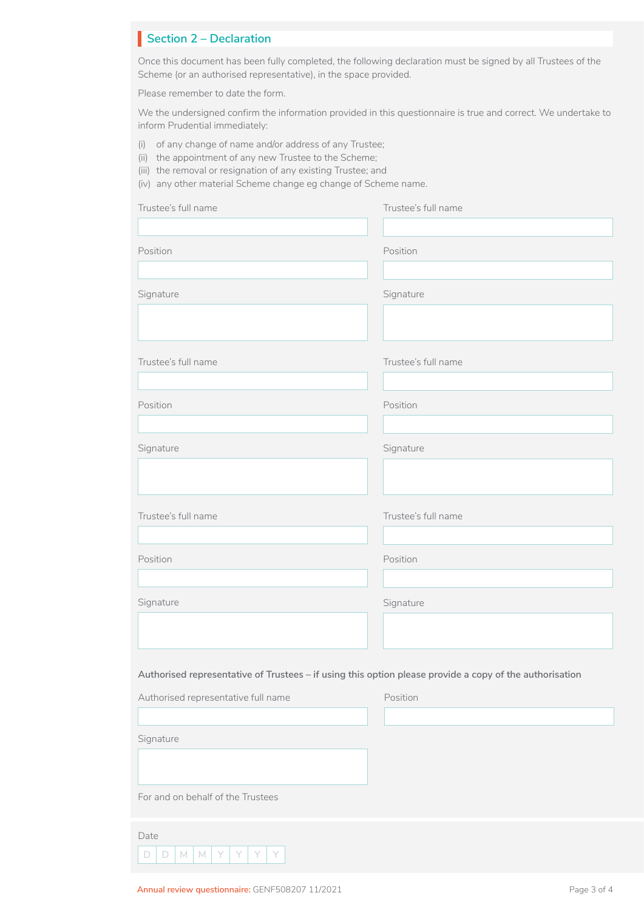# **Section 2 – Declaration**

Once this document has been fully completed, the following declaration must be signed by all Trustees of the Scheme (or an authorised representative), in the space provided.

Please remember to date the form.

We the undersigned confirm the information provided in this questionnaire is true and correct. We undertake to inform Prudential immediately:

- (i) of any change of name and/or address of any Trustee;
- (ii) the appointment of any new Trustee to the Scheme;
- (iii) the removal or resignation of any existing Trustee; and
- (iv) any other material Scheme change eg change of Scheme name.

| Trustee's full name                                                                                     | Trustee's full name |  |
|---------------------------------------------------------------------------------------------------------|---------------------|--|
|                                                                                                         |                     |  |
| Position                                                                                                | Position            |  |
|                                                                                                         |                     |  |
| Signature                                                                                               | Signature           |  |
|                                                                                                         |                     |  |
| Trustee's full name                                                                                     | Trustee's full name |  |
| Position                                                                                                | Position            |  |
|                                                                                                         |                     |  |
| Signature                                                                                               | Signature           |  |
|                                                                                                         |                     |  |
| Trustee's full name                                                                                     | Trustee's full name |  |
|                                                                                                         |                     |  |
| Position                                                                                                | Position            |  |
|                                                                                                         |                     |  |
| Signature                                                                                               | Signature           |  |
|                                                                                                         |                     |  |
|                                                                                                         |                     |  |
| Authorised representative of Trustees - if using this option please provide a copy of the authorisation |                     |  |
| Authorised representative full name                                                                     | Position            |  |
|                                                                                                         |                     |  |
| Signature                                                                                               |                     |  |
|                                                                                                         |                     |  |
| For and on behalf of the Trustees                                                                       |                     |  |
| Date                                                                                                    |                     |  |
| $\Box$<br>$\Box$<br>$M$ $M$<br>Y<br>Y<br>Y<br>Y                                                         |                     |  |